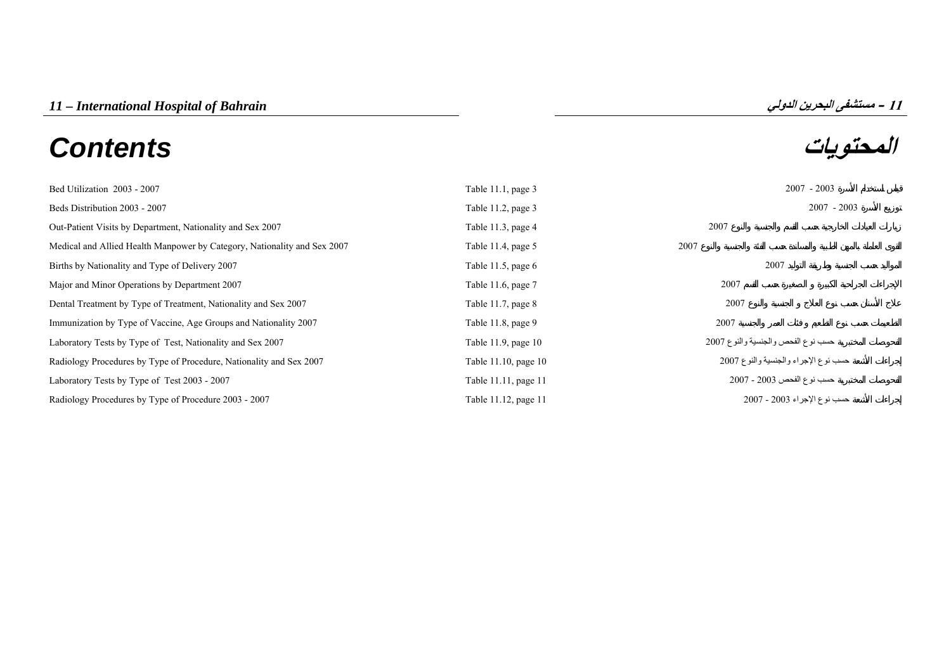# **المحتويات** *Contents*



| Bed Utilization 2003 - 2007                                              | Table 11.1, page 3   | $2007 - 2003$                        |
|--------------------------------------------------------------------------|----------------------|--------------------------------------|
| Beds Distribution 2003 - 2007                                            | Table 11.2, page 3   | $2007 - 2003$                        |
| Out-Patient Visits by Department, Nationality and Sex 2007               | Table 11.3, page 4   | 2007                                 |
| Medical and Allied Health Manpower by Category, Nationality and Sex 2007 | Table 11.4, page $5$ | 2007                                 |
| Births by Nationality and Type of Delivery 2007                          | Table 11.5, page $6$ | 2007                                 |
| Major and Minor Operations by Department 2007                            | Table 11.6, page 7   | 2007                                 |
| Dental Treatment by Type of Treatment, Nationality and Sex 2007          | Table 11.7, page 8   | 2007                                 |
| Immunization by Type of Vaccine, Age Groups and Nationality 2007         | Table 11.8, page 9   | 2007                                 |
| Laboratory Tests by Type of Test, Nationality and Sex 2007               | Table 11.9, page 10  | حسب نوع الفحص والجنسية والنوع 2007   |
| Radiology Procedures by Type of Procedure, Nationality and Sex 2007      | Table 11.10, page 10 | حسب نوع الإجراء والجنسية والنوع 2007 |
| Laboratory Tests by Type of Test 2003 - 2007                             | Table 11.11, page 11 | حسب نوع الفحص 2003 - 2007            |
| Radiology Procedures by Type of Procedure 2003 - 2007                    | Table 11.12, page 11 | حسب نوع الإجراء 2003 - 2007          |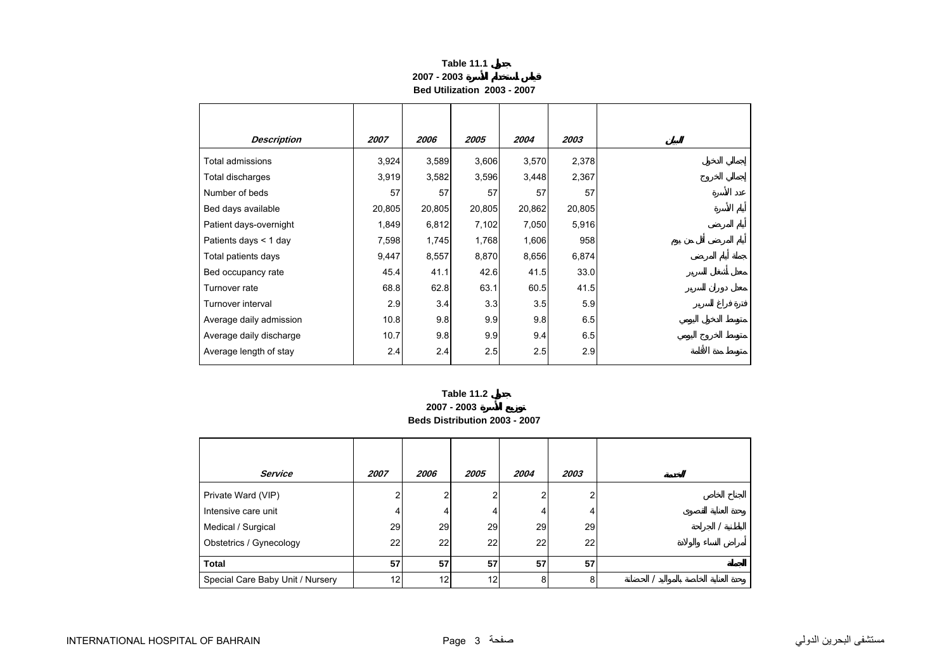| <b>Table 11.1</b>           |
|-----------------------------|
| 2007 - 2003                 |
| Bed Utilization 2003 - 2007 |

<span id="page-1-0"></span>

| <b>Description</b>      | 2007   | 2006   | 2005   | 2004   | 2003   |
|-------------------------|--------|--------|--------|--------|--------|
| <b>Total admissions</b> | 3,924  | 3,589  | 3,606  | 3,570  | 2,378  |
| Total discharges        | 3,919  | 3,582  | 3,596  | 3,448  | 2,367  |
| Number of beds          | 57     | 57     | 57     | 57     | 57     |
| Bed days available      | 20,805 | 20,805 | 20,805 | 20,862 | 20,805 |
| Patient days-overnight  | 1,849  | 6,812  | 7,102  | 7,050  | 5,916  |
| Patients days $<$ 1 day | 7,598  | 1,745  | 1,768  | 1,606  | 958    |
| Total patients days     | 9,447  | 8,557  | 8,870  | 8,656  | 6,874  |
| Bed occupancy rate      | 45.4   | 41.1   | 42.6   | 41.5   | 33.0   |
| Turnover rate           | 68.8   | 62.8   | 63.1   | 60.5   | 41.5   |
| Turnover interval       | 2.9    | 3.4    | 3.3    | 3.5    | 5.9    |
| Average daily admission | 10.8   | 9.8    | 9.9    | 9.8    | 6.5    |
| Average daily discharge | 10.7   | 9.8    | 9.9    | 9.4    | 6.5    |
| Average length of stay  | 2.4    | 2.4    | 2.5    | 2.5    | 2.9    |

# **2007 - 2003 Beds Distribution 2003 - 2007 Table 11.2**

| <b>Service</b>                   | 2007 | 2006 | 2005            | 2004 | 2003 |  |  |
|----------------------------------|------|------|-----------------|------|------|--|--|
| Private Ward (VIP)               | ⌒    | ົ    | 2               |      |      |  |  |
| Intensive care unit              | 4    | 4    | 4               | 4    |      |  |  |
| Medical / Surgical               | 29   | 29   | 29              | 29   | 29   |  |  |
| Obstetrics / Gynecology          | 22   | 22   | 22              | 22   | 22   |  |  |
| <b>Total</b>                     | 57   | 57   | 57              | 57   | 57   |  |  |
| Special Care Baby Unit / Nursery | 12   | 12   | 12 <sub>l</sub> | 8    |      |  |  |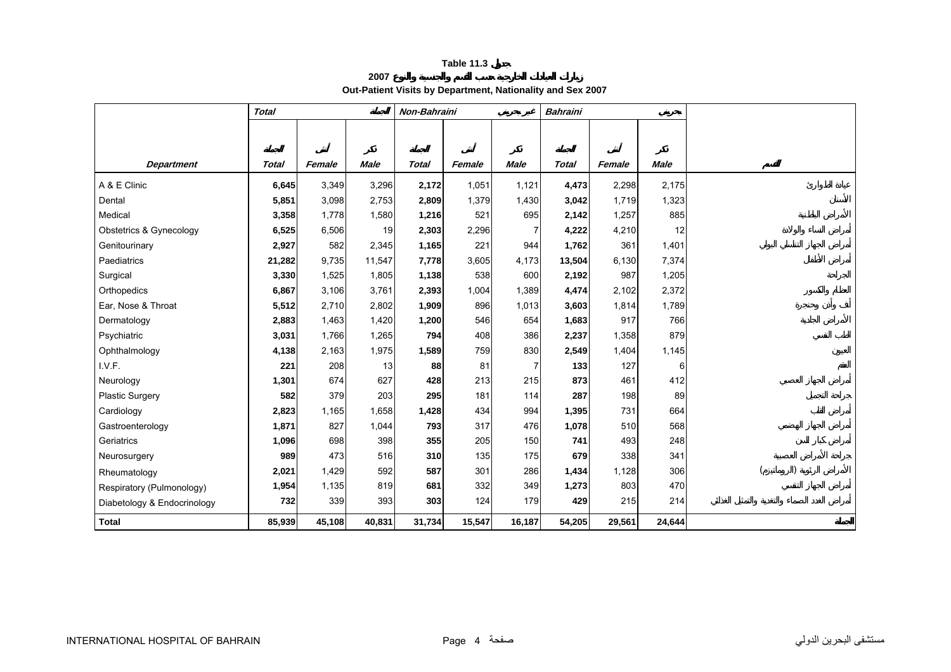**2007**

**Out-Patient Visits by Department, Nationality and Sex 2007** 

<span id="page-2-0"></span>

|                             | <b>Total</b> |        |             | Non-Bahraini |        |                | <b>Bahraini</b> |        |             |  |
|-----------------------------|--------------|--------|-------------|--------------|--------|----------------|-----------------|--------|-------------|--|
|                             |              |        |             |              |        |                |                 |        |             |  |
|                             |              |        |             |              |        |                |                 |        |             |  |
| <b>Department</b>           | <b>Total</b> | Female | <b>Male</b> | <b>Total</b> | Female | <b>Male</b>    | <b>Total</b>    | Female | <b>Male</b> |  |
| A & E Clinic                | 6,645        | 3,349  | 3,296       | 2,172        | 1,051  | 1,121          | 4,473           | 2,298  | 2,175       |  |
| Dental                      | 5,851        | 3,098  | 2,753       | 2,809        | 1,379  | 1,430          | 3,042           | 1,719  | 1,323       |  |
| Medical                     | 3,358        | 1,778  | 1,580       | 1,216        | 521    | 695            | 2,142           | 1,257  | 885         |  |
| Obstetrics & Gynecology     | 6,525        | 6,506  | 19          | 2,303        | 2,296  | 7              | 4,222           | 4,210  | 12          |  |
| Genitourinary               | 2,927        | 582    | 2,345       | 1,165        | 221    | 944            | 1,762           | 361    | 1,401       |  |
| Paediatrics                 | 21,282       | 9,735  | 11,547      | 7,778        | 3,605  | 4,173          | 13,504          | 6,130  | 7,374       |  |
| Surgical                    | 3,330        | 1,525  | 1,805       | 1,138        | 538    | 600            | 2,192           | 987    | 1,205       |  |
| Orthopedics                 | 6,867        | 3,106  | 3,761       | 2,393        | 1,004  | 1,389          | 4,474           | 2,102  | 2,372       |  |
| Ear, Nose & Throat          | 5,512        | 2,710  | 2,802       | 1,909        | 896    | 1,013          | 3,603           | 1,814  | 1,789       |  |
| Dermatology                 | 2,883        | 1,463  | 1,420       | 1,200        | 546    | 654            | 1,683           | 917    | 766         |  |
| Psychiatric                 | 3,031        | 1,766  | 1,265       | 794          | 408    | 386            | 2,237           | 1,358  | 879         |  |
| Ophthalmology               | 4,138        | 2,163  | 1,975       | 1,589        | 759    | 830            | 2,549           | 1,404  | 1,145       |  |
| I.V.F.                      | 221          | 208    | 13          | 88           | 81     | $\overline{7}$ | 133             | 127    | 6           |  |
| Neurology                   | 1,301        | 674    | 627         | 428          | 213    | 215            | 873             | 461    | 412         |  |
| <b>Plastic Surgery</b>      | 582          | 379    | 203         | 295          | 181    | 114            | 287             | 198    | 89          |  |
| Cardiology                  | 2,823        | 1,165  | 1,658       | 1,428        | 434    | 994            | 1,395           | 731    | 664         |  |
| Gastroenterology            | 1,871        | 827    | 1,044       | 793          | 317    | 476            | 1,078           | 510    | 568         |  |
| Geriatrics                  | 1,096        | 698    | 398         | 355          | 205    | 150            | 741             | 493    | 248         |  |
| Neurosurgery                | 989          | 473    | 516         | 310          | 135    | 175            | 679             | 338    | 341         |  |
| Rheumatology                | 2,021        | 1,429  | 592         | 587          | 301    | 286            | 1,434           | 1,128  | 306         |  |
| Respiratory (Pulmonology)   | 1,954        | 1,135  | 819         | 681          | 332    | 349            | 1,273           | 803    | 470         |  |
| Diabetology & Endocrinology | 732          | 339    | 393         | 303          | 124    | 179            | 429             | 215    | 214         |  |
| <b>Total</b>                | 85,939       | 45,108 | 40,831      | 31,734       | 15,547 | 16,187         | 54,205          | 29,561 | 24,644      |  |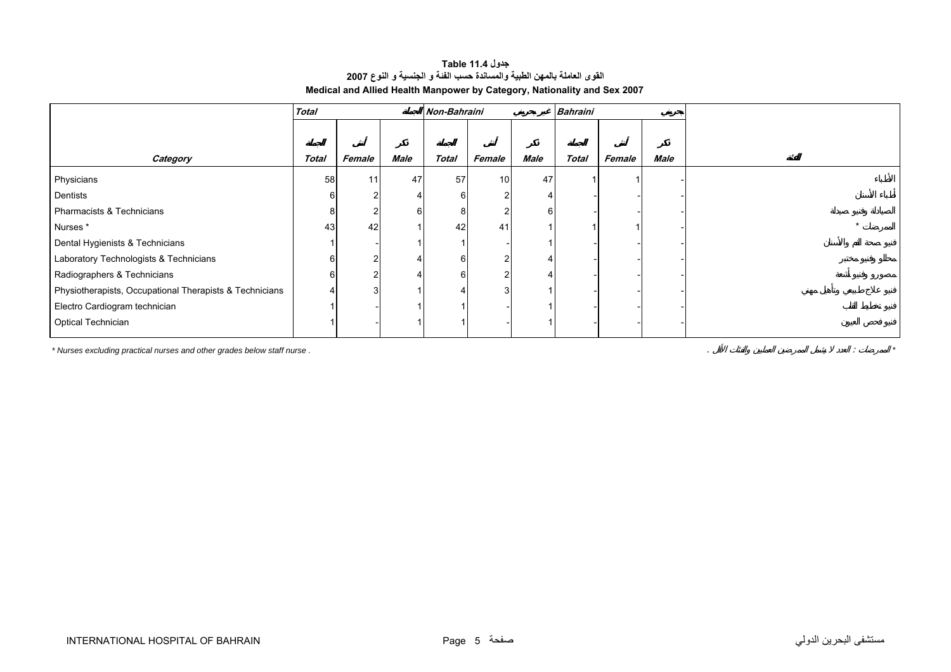# **جدول 11.4 Table القوى العاملة بالمهن الطبية والمساندة حسب الفئة <sup>و</sup> الجنسية <sup>و</sup> النوع <sup>2007</sup> Medical and Allied Health Manpower by Category, Nationality and Sex 2007**

<span id="page-3-0"></span>

|                                                         | <b>Total</b> |        |      | Non-Bahraini |        |      | <b>Bahraini</b> |        |      |
|---------------------------------------------------------|--------------|--------|------|--------------|--------|------|-----------------|--------|------|
|                                                         |              |        |      |              |        |      |                 |        |      |
|                                                         |              |        |      |              |        |      |                 |        |      |
| Category                                                | <b>Total</b> | Female | Male | <b>Total</b> | Female | Male | <b>Total</b>    | Female | Male |
| Physicians                                              | 58           | 11     | 47   | 57           | 10     | 47   |                 |        |      |
| Dentists                                                |              |        |      |              |        |      |                 |        |      |
| Pharmacists & Technicians                               |              |        | 6    |              |        | 61   |                 |        |      |
| Nurses*                                                 | 43           | 42     |      | 42           | 41     |      |                 |        |      |
| Dental Hygienists & Technicians                         |              |        |      |              |        |      |                 |        |      |
| Laboratory Technologists & Technicians                  |              |        |      |              |        |      |                 |        |      |
| Radiographers & Technicians                             |              |        |      |              |        |      |                 |        |      |
| Physiotherapists, Occupational Therapists & Technicians |              |        |      |              |        |      |                 |        |      |
| Electro Cardiogram technician                           |              |        |      |              |        |      |                 |        |      |
| <b>Optical Technician</b>                               |              |        |      |              |        |      |                 |        |      |

*\* Nurses excluding practical nurses and other grades below staff nurse .* . : *\**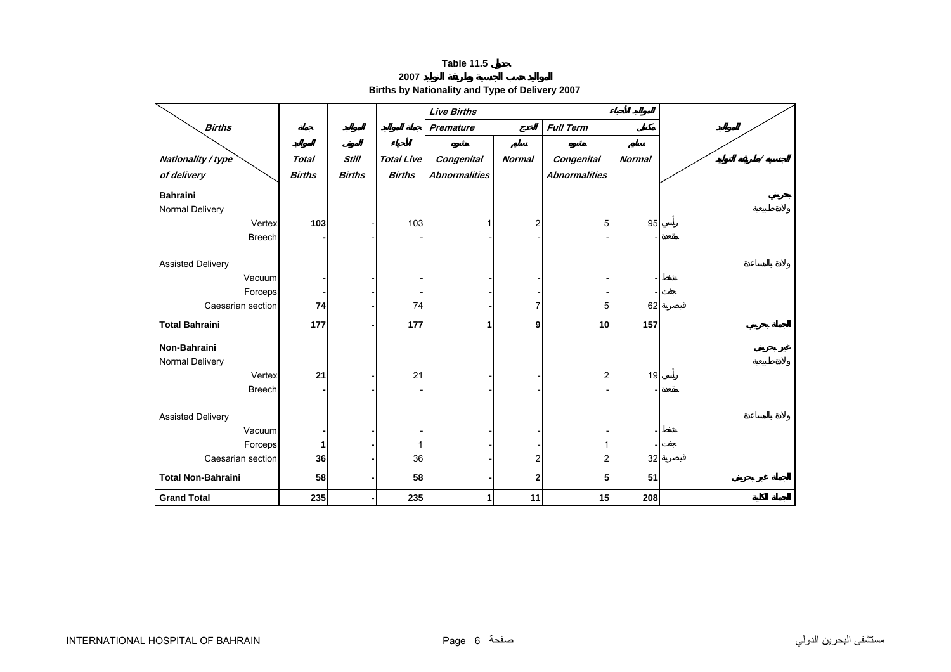**2007**

**Births by Nationality and Type of Delivery 2007** 

<span id="page-4-0"></span>

|                           |               |               |                   | <b>Live Births</b>   |                         |                      |               |  |
|---------------------------|---------------|---------------|-------------------|----------------------|-------------------------|----------------------|---------------|--|
| <b>Births</b>             |               |               |                   | Premature            |                         | <b>Full Term</b>     |               |  |
|                           |               |               |                   |                      |                         |                      |               |  |
| Nationality / type        | <b>Total</b>  | <b>Still</b>  | <b>Total Live</b> | Congenital           | <b>Normal</b>           | Congenital           | <b>Normal</b> |  |
| of delivery               | <b>Births</b> | <b>Births</b> | <b>Births</b>     | <b>Abnormalities</b> |                         | <b>Abnormalities</b> |               |  |
| <b>Bahraini</b>           |               |               |                   |                      |                         |                      |               |  |
| Normal Delivery           |               |               |                   |                      |                         |                      |               |  |
| Vertex                    | 103           |               | 103               |                      | $\overline{\mathbf{c}}$ | 5                    | 95            |  |
| <b>Breech</b>             |               |               |                   |                      |                         |                      |               |  |
|                           |               |               |                   |                      |                         |                      |               |  |
| <b>Assisted Delivery</b>  |               |               |                   |                      |                         |                      |               |  |
| Vacuum                    |               |               |                   |                      |                         |                      |               |  |
| Forceps                   |               |               |                   |                      |                         |                      |               |  |
| Caesarian section         | 74            |               | 74                |                      | 7                       | 5                    | 62            |  |
| <b>Total Bahraini</b>     | 177           |               | 177               | 1                    | 9                       | 10                   | 157           |  |
| Non-Bahraini              |               |               |                   |                      |                         |                      |               |  |
| Normal Delivery           |               |               |                   |                      |                         |                      |               |  |
| Vertex                    | 21            |               | 21                |                      |                         | $\overline{2}$       | 19            |  |
| <b>Breech</b>             |               |               |                   |                      |                         |                      |               |  |
|                           |               |               |                   |                      |                         |                      |               |  |
| <b>Assisted Delivery</b>  |               |               |                   |                      |                         |                      |               |  |
| Vacuum                    |               |               |                   |                      |                         |                      |               |  |
| Forceps                   |               |               | 1                 |                      |                         |                      |               |  |
| Caesarian section         | 36            |               | 36                |                      | $\overline{2}$          | $\overline{2}$       | 32            |  |
| <b>Total Non-Bahraini</b> | 58            |               | 58                |                      | $\mathbf{2}$            | 5                    | 51            |  |
| <b>Grand Total</b>        | 235           |               | 235               | 1                    | 11                      | 15                   | 208           |  |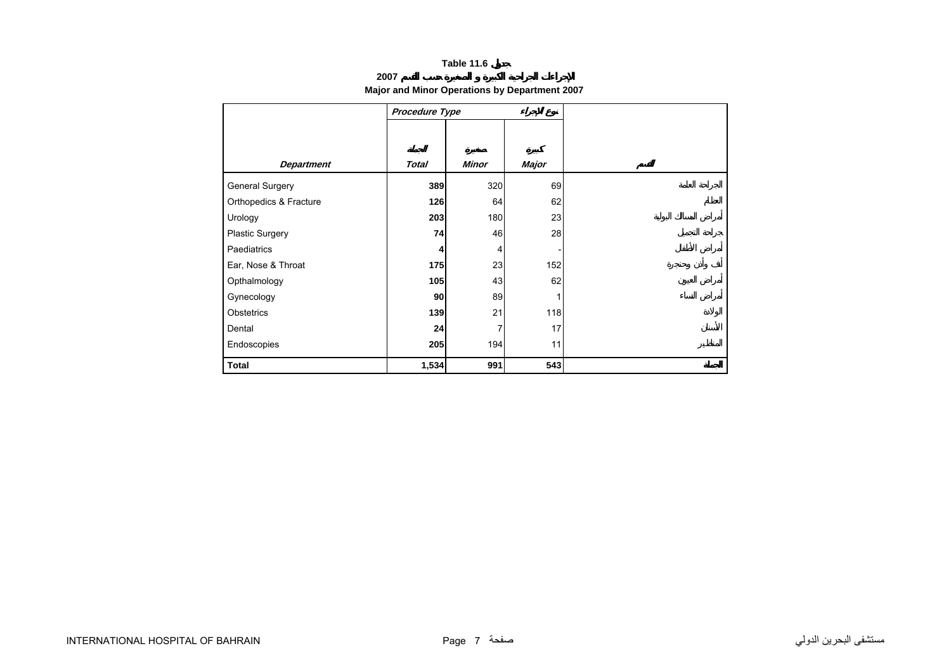## **2007**

# **Major and Minor Operations by Department 2007**

<span id="page-5-0"></span>

|                        | Procedure Type |              |       |
|------------------------|----------------|--------------|-------|
|                        |                |              |       |
|                        |                |              |       |
| <b>Department</b>      | <b>Total</b>   | <b>Minor</b> | Major |
| General Surgery        | 389            | 320          | 69    |
| Orthopedics & Fracture | 126            | 64           | 62    |
| Urology                | 203            | 180          | 23    |
| Plastic Surgery        | 74             | 46           | 28    |
| Paediatrics            | 4              | 4            |       |
| Ear, Nose & Throat     | 175            | 23           | 152   |
| Opthalmology           | 105            | 43           | 62    |
| Gynecology             | 90             | 89           |       |
| Obstetrics             | 139            | 21           | 118   |
| Dental                 | 24             | 7            | 17    |
| Endoscopies            | 205            | 194          | 11    |
| <b>Total</b>           | 1,534          | 991          | 543   |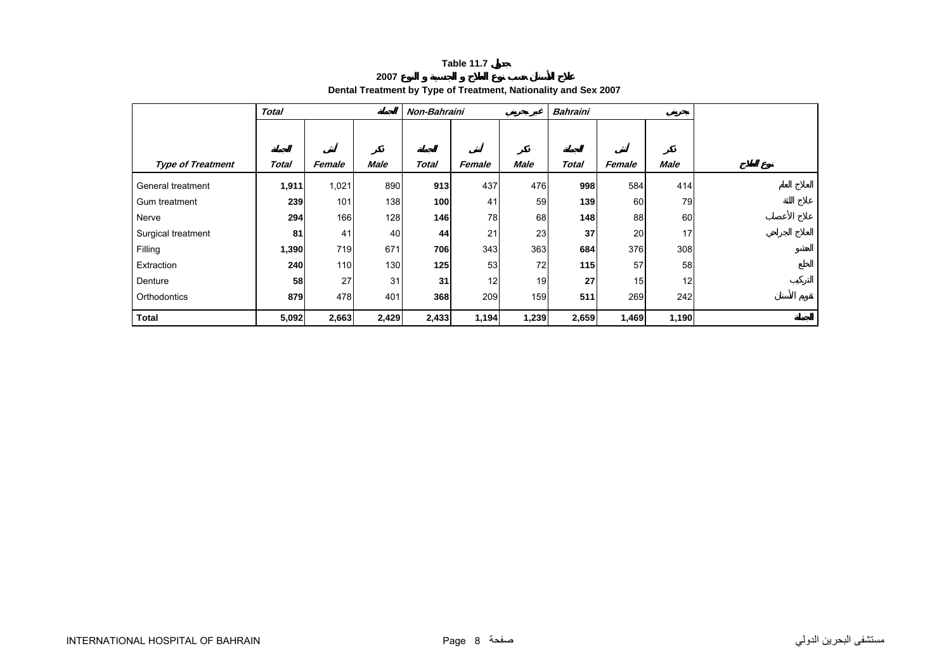**2007**

# **Dental Treatment by Type of Treatment, Nationality and Sex 2007**

<span id="page-6-0"></span>

|                          | <b>Total</b> |        |             | Non-Bahraini |        |                 | <b>Bahraini</b> |        |       |  |
|--------------------------|--------------|--------|-------------|--------------|--------|-----------------|-----------------|--------|-------|--|
|                          |              |        |             |              |        |                 |                 |        |       |  |
|                          |              |        |             |              |        |                 |                 |        |       |  |
| <b>Type of Treatment</b> | Total        | Female | <b>Male</b> | <b>Total</b> | Female | Male            | <b>Total</b>    | Female | Male  |  |
| General treatment        | 1,911        | 1,021  | 890         | 913          | 437    | 476             | 998             | 584    | 414   |  |
| Gum treatment            | 239          | 101    | 138         | 100          | 41     | 59              | 139             | 60     | 79    |  |
| Nerve                    | 294          | 166    | 128         | 146          | 78     | 68              | 148             | 88     | 60    |  |
| Surgical treatment       | 81           | 41     | 40          | 44           | 21     | 23              | 37              | 20     | 17    |  |
| Filling                  | 1,390        | 719    | 671         | 706          | 343    | 363             | 684             | 376    | 308   |  |
| Extraction               | 240          | 110    | 130         | 125          | 53     | 72              | 115             | 57     | 58    |  |
| Denture                  | 58           | 27     | 31          | 31           | 12     | 19 <sup>l</sup> | 27              | 15     | 12    |  |
| Orthodontics             | 879          | 478    | 401         | 368          | 209    | 159             | 511             | 269    | 242   |  |
| <b>Total</b>             | 5,092        | 2,663  | 2,429       | 2,433        | 1,194  | 1,239           | 2,659           | 1,469  | 1,190 |  |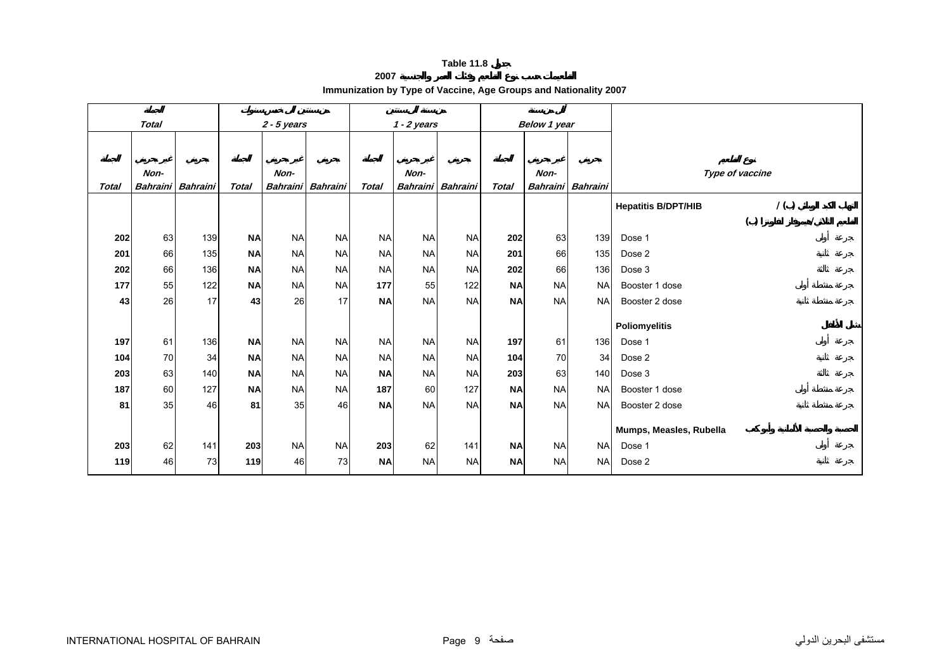**2007**

|  | Immunization by Type of Vaccine, Age Groups and Nationality 2007 |
|--|------------------------------------------------------------------|
|  |                                                                  |

<span id="page-7-0"></span>

|              | <b>Total</b>            |                 |              | $2 - 5$ years   |                 |           | $1 - 2$ years   |                 |              | Below 1 year    |                 |                            |                 |     |  |
|--------------|-------------------------|-----------------|--------------|-----------------|-----------------|-----------|-----------------|-----------------|--------------|-----------------|-----------------|----------------------------|-----------------|-----|--|
|              |                         |                 |              |                 |                 |           |                 |                 |              |                 |                 |                            |                 |     |  |
|              |                         |                 |              | Non-            |                 |           | Non-            |                 |              | Non-            |                 |                            | Type of vaccine |     |  |
| <b>Total</b> | Non-<br><b>Bahraini</b> | <b>Bahraini</b> | <b>Total</b> | <b>Bahraini</b> | <b>Bahraini</b> | Total     | <b>Bahraini</b> | <b>Bahraini</b> | <b>Total</b> | <b>Bahraini</b> | <b>Bahraini</b> |                            |                 |     |  |
|              |                         |                 |              |                 |                 |           |                 |                 |              |                 |                 | <b>Hepatitis B/DPT/HIB</b> |                 | 1() |  |
|              |                         |                 |              |                 |                 |           |                 |                 |              |                 |                 |                            | ( )             |     |  |
| 202          | 63                      | 139             | <b>NA</b>    | <b>NA</b>       | <b>NA</b>       | <b>NA</b> | <b>NA</b>       | <b>NA</b>       | 202          | 63              | 139             | Dose 1                     |                 |     |  |
| 201          | 66                      | 135             | <b>NA</b>    | <b>NA</b>       | <b>NA</b>       | <b>NA</b> | <b>NA</b>       | <b>NA</b>       | 201          | 66              | 135             | Dose 2                     |                 |     |  |
| 202          | 66                      | 136             | <b>NA</b>    | <b>NA</b>       | <b>NA</b>       | <b>NA</b> | <b>NA</b>       | <b>NA</b>       | 202          | 66              | 136             | Dose 3                     |                 |     |  |
| 177          | 55                      | 122             | <b>NA</b>    | <b>NA</b>       | <b>NA</b>       | 177       | 55              | 122             | <b>NA</b>    | <b>NA</b>       | <b>NA</b>       | Booster 1 dose             |                 |     |  |
| 43           | 26                      | 17              | 43           | 26              | 17              | <b>NA</b> | <b>NA</b>       | <b>NA</b>       | <b>NA</b>    | <b>NA</b>       | <b>NA</b>       | Booster 2 dose             |                 |     |  |
|              |                         |                 |              |                 |                 |           |                 |                 |              |                 |                 | <b>Poliomyelitis</b>       |                 |     |  |
| 197          | 61                      | 136             | <b>NA</b>    | <b>NA</b>       | <b>NA</b>       | <b>NA</b> | <b>NA</b>       | <b>NA</b>       | 197          | 61              | 136             | Dose 1                     |                 |     |  |
| 104          | 70                      | 34              | <b>NA</b>    | <b>NA</b>       | <b>NA</b>       | <b>NA</b> | <b>NA</b>       | <b>NA</b>       | 104          | 70              | 34              | Dose 2                     |                 |     |  |
| 203          | 63                      | 140             | <b>NA</b>    | <b>NA</b>       | <b>NA</b>       | <b>NA</b> | <b>NA</b>       | <b>NA</b>       | 203          | 63              | 140             | Dose 3                     |                 |     |  |
| 187          | 60                      | 127             | <b>NA</b>    | <b>NA</b>       | <b>NA</b>       | 187       | 60              | 127             | <b>NA</b>    | <b>NA</b>       | <b>NA</b>       | Booster 1 dose             |                 |     |  |
| 81           | 35                      | 46              | 81           | 35              | 46              | <b>NA</b> | <b>NA</b>       | <b>NA</b>       | <b>NA</b>    | <b>NA</b>       | <b>NA</b>       | Booster 2 dose             |                 |     |  |
|              |                         |                 |              |                 |                 |           |                 |                 |              |                 |                 | Mumps, Measles, Rubella    |                 |     |  |
| 203          | 62                      | 141             | 203          | <b>NA</b>       | <b>NA</b>       | 203       | 62              | 141             | <b>NA</b>    | <b>NA</b>       | <b>NA</b>       | Dose 1                     |                 |     |  |
| 119          | 46                      | 73              | 119          | 46              | 73              | <b>NA</b> | <b>NA</b>       | <b>NA</b>       | <b>NA</b>    | <b>NA</b>       | <b>NA</b>       | Dose 2                     |                 |     |  |
|              |                         |                 |              |                 |                 |           |                 |                 |              |                 |                 |                            |                 |     |  |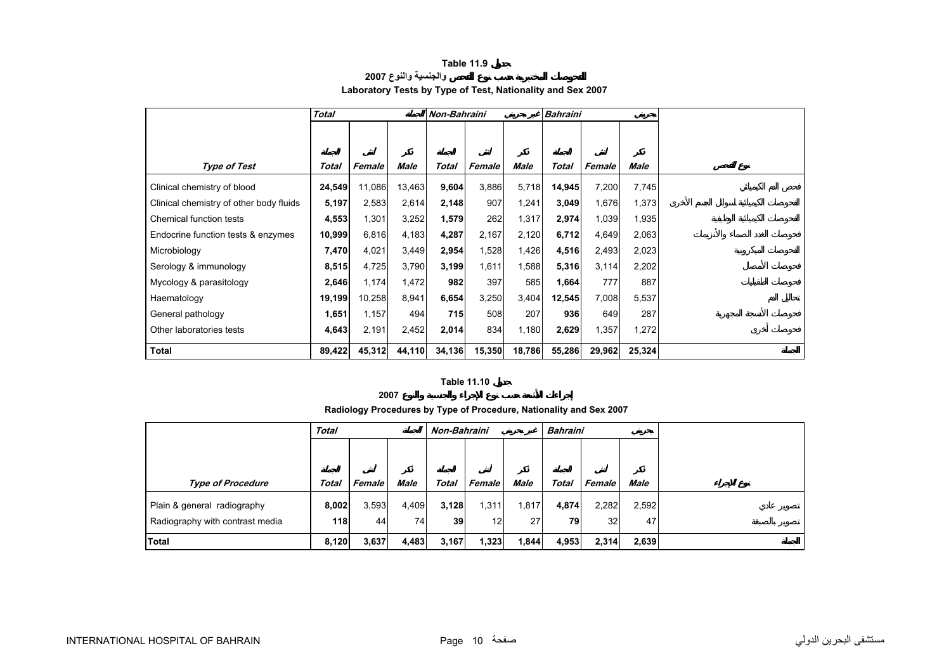### **Table 11.9 والجنسية والنوع <sup>2007</sup>**

# **Laboratory Tests by Type of Test, Nationality and Sex 2007**

<span id="page-8-0"></span>

|                                         | <b>Total</b> |        |        |        | Non-Bahraini<br><b>Bahraini</b> |        |        |        |        |
|-----------------------------------------|--------------|--------|--------|--------|---------------------------------|--------|--------|--------|--------|
|                                         |              |        |        |        |                                 |        |        |        |        |
|                                         |              |        |        |        |                                 |        |        |        |        |
| <b>Type of Test</b>                     | Total        | Female | Male   | Total  | Female                          | Male   | Total  | Female | Male   |
| Clinical chemistry of blood             | 24,549       | 11,086 | 13,463 | 9,604  | 3,886                           | 5,718  | 14,945 | 7,200  | 7,745  |
| Clinical chemistry of other body fluids | 5,197        | 2,583  | 2,614  | 2,148  | 907                             | 1,241  | 3,049  | 1,676  | 1,373  |
| Chemical function tests                 | 4,553        | 1,301  | 3,252  | 1,579  | 262                             | 1,317  | 2,974  | 1,039  | 1,935  |
| Endocrine function tests & enzymes      | 10,999       | 6,816  | 4,183  | 4,287  | 2,167                           | 2,120  | 6,712  | 4,649  | 2,063  |
| Microbiology                            | 7,470        | 4,021  | 3,449  | 2,954  | 1,528                           | 1,426  | 4,516  | 2,493  | 2,023  |
| Serology & immunology                   | 8,515        | 4,725  | 3,790  | 3,199  | 1,611                           | 1,588  | 5,316  | 3,114  | 2,202  |
| Mycology & parasitology                 | 2,646        | 1,174  | 1,472  | 982    | 397                             | 585    | 1,664  | 777    | 887    |
| Haematology                             | 19,199       | 10,258 | 8,941  | 6,654  | 3,250                           | 3,404  | 12,545 | 7,008  | 5,537  |
| General pathology                       | 1,651        | 1,157  | 494    | 715    | 508                             | 207    | 936    | 649    | 287    |
| Other laboratories tests                | 4,643        | 2,191  | 2,452  | 2,014  | 834                             | 1,180  | 2,629  | 1,357  | 1,272  |
| <b>Total</b>                            | 89,422       | 45,312 | 44,110 | 34,136 | 15,350                          | 18,786 | 55,286 | 29,962 | 25,324 |

#### **Table 11.10**

**2007**

**Radiology Procedures by Type of Procedure, Nationality and Sex 2007**

|                                 | <b>Total</b> |        |             | Non-Bahraini |        |             | <b>Bahraini</b> |               |             |  |
|---------------------------------|--------------|--------|-------------|--------------|--------|-------------|-----------------|---------------|-------------|--|
|                                 |              |        |             |              |        |             |                 |               |             |  |
|                                 |              |        |             |              |        |             |                 |               |             |  |
| <b>Type of Procedure</b>        | Total        | Female | <b>Male</b> | Total        | Female | <b>Male</b> | <b>Total</b>    | <b>Female</b> | <b>Male</b> |  |
| Plain & general radiography     | 8,002        | 3,593  | 4,409       | 3,128        | 1,311  | 1,817       | 4,874           | 2,282         | 2,592       |  |
| Radiography with contrast media | 118          | 44     | 74          | 39           | 12     | 27          | 79              | 32            | 47          |  |
| Total                           | 8,120        | 3,637  | 4,483       | 3,167        | 1,323  | 1,844       | 4,953           | 2,314         | 2,639       |  |